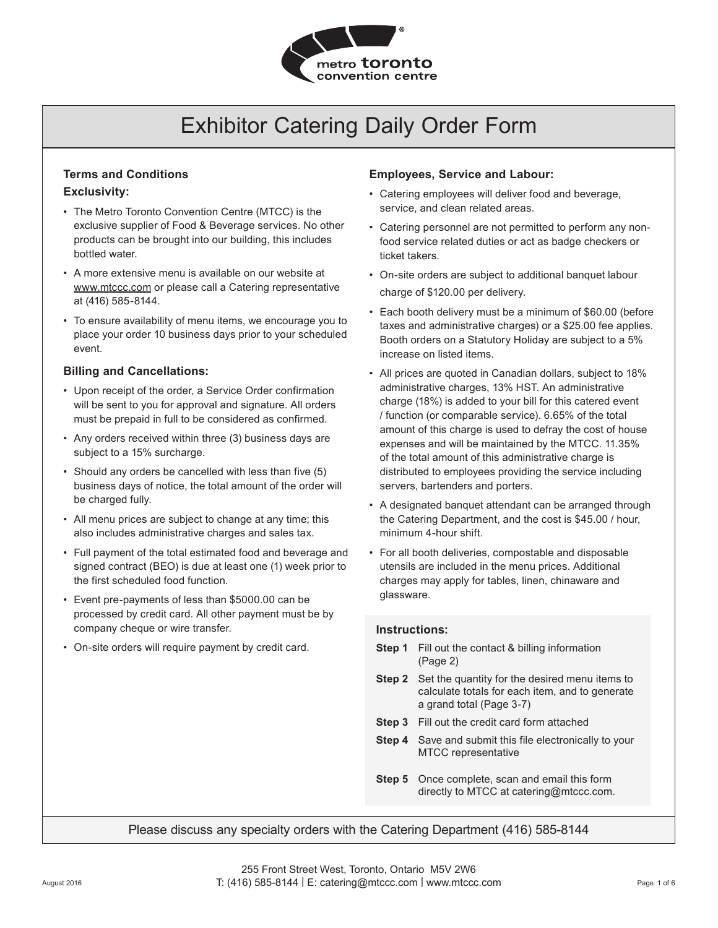

### **Terms and Conditions Exclusivity:**

- The Metro Toronto Convention Centre (MTCC) is the exclusive supplier of Food & Beverage services. No other products can be brought into our building, this includes bottled water.
- A more extensive menu is available on our website at www.mtccc.com or please call a Catering representative at (416) 585-8144.
- To ensure availability of menu items, we encourage you to place your order 10 business days prior to your scheduled event.

#### **Billing and Cancellations:**

- Upon receipt of the order, a Service Order confirmation will be sent to you for approval and signature. All orders must be prepaid in full to be considered as confirmed.
- Any orders received within three (3) business days are subject to a 15% surcharge.
- Should any orders be cancelled with less than five (5) business days of notice, the total amount of the order will be charged fully.
- All menu prices are subject to change at any time; this also includes administrative charges and sales tax.
- Full payment of the total estimated food and beverage and signed contract (BEO) is due at least one (1) week prior to the first scheduled food function.
- Event pre-payments of less than \$5000.00 can be processed by credit card. All other payment must be by company cheque or wire transfer.
- On-site orders will require payment by credit card.

### **Employees, Service and Labour:**

- Catering employees will deliver food and beverage, service, and clean related areas.
- Catering personnel are not permitted to perform any nonfood service related duties or act as badge checkers or ticket takers.
- On-site orders are subject to additional banquet labour charge of \$120.00 per delivery.
- Each booth delivery must be a minimum of \$60.00 (before taxes and administrative charges) or a \$25.00 fee applies. Booth orders on a Statutory Holiday are subject to a 5% increase on listed items.
- All prices are quoted in Canadian dollars, subject to 18% administrative charges, 13% HST. An administrative charge (18%) is added to your bill for this catered event / function (or comparable service). 6.65% of the total amount of this charge is used to defray the cost of house expenses and will be maintained by the MTCC. 11.35% of the total amount of this administrative charge is distributed to employees providing the service including servers, bartenders and porters.
- A designated banquet attendant can be arranged through the Catering Department, and the cost is \$45.00 / hour, minimum 4-hour shift.
- For all booth deliveries, compostable and disposable utensils are included in the menu prices. Additional charges may apply for tables, linen, chinaware and glassware.

#### **Instructions:**

- **Step 1** Fill out the contact & billing information (Page 2)
- **Step 2** Set the quantity for the desired menu items to calculate totals for each item, and to generate a grand total (Page 3-7)
- **Step 3** Fill out the credit card form attached
- **Step 4** Save and submit this file electronically to your MTCC representative
- **Step 5** Once complete, scan and email this form directly to MTCC at catering@mtccc.com.

### Please discuss any specialty orders with the Catering Department (416) 585-8144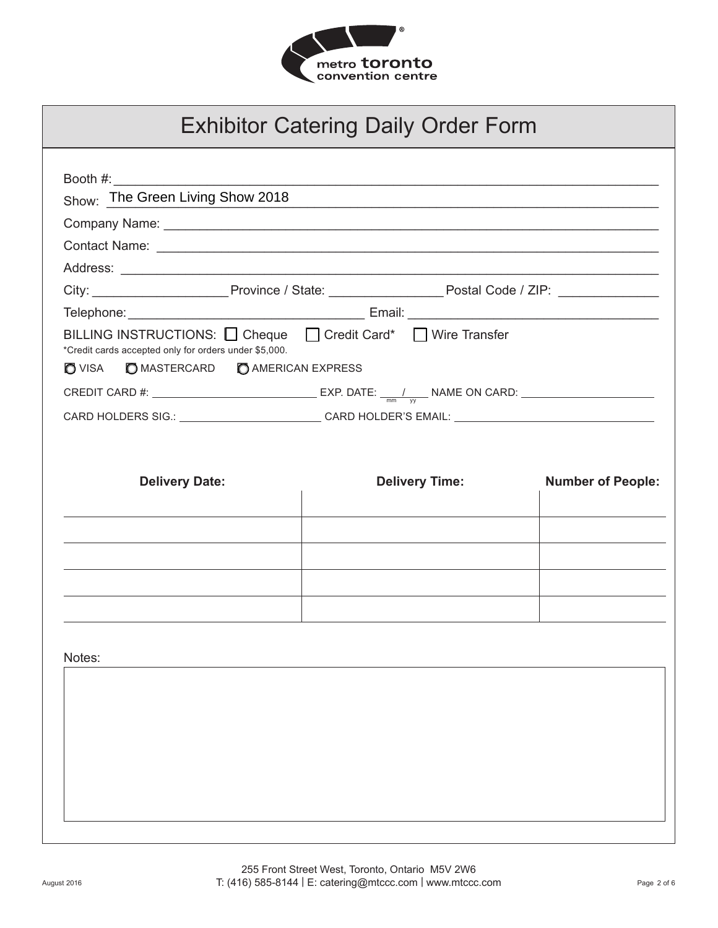

| Show: The Green Living Show 2018                                                                                                                                                                                               |                       | <u> 1990 - Johann John Harry Harry Harry Harry Harry Harry Harry Harry Harry Harry Harry Harry Harry Harry Harry H</u> |
|--------------------------------------------------------------------------------------------------------------------------------------------------------------------------------------------------------------------------------|-----------------------|------------------------------------------------------------------------------------------------------------------------|
|                                                                                                                                                                                                                                |                       |                                                                                                                        |
| Contact Name: contact Name: contact Name: contact Name: contact Name: contact Name: contact Name: contact Name: contact Name: contact Name: contact Name: contact Name: contact Name: contact Name: contact Name: contact Name |                       |                                                                                                                        |
|                                                                                                                                                                                                                                |                       |                                                                                                                        |
|                                                                                                                                                                                                                                |                       |                                                                                                                        |
|                                                                                                                                                                                                                                |                       |                                                                                                                        |
| BILLING INSTRUCTIONS: □ Cheque □ Credit Card* □ Wire Transfer<br>*Credit cards accepted only for orders under \$5,000.                                                                                                         |                       |                                                                                                                        |
| VISA <b>D</b> MASTERCARD <b>D</b> AMERICAN EXPRESS                                                                                                                                                                             |                       |                                                                                                                        |
| CARD HOLDERS SIG.: ____________________________CARD HOLDER'S EMAIL: ________________________________                                                                                                                           |                       |                                                                                                                        |
|                                                                                                                                                                                                                                |                       |                                                                                                                        |
| <b>Delivery Date:</b>                                                                                                                                                                                                          | <b>Delivery Time:</b> | <b>Number of People:</b>                                                                                               |
|                                                                                                                                                                                                                                |                       |                                                                                                                        |
|                                                                                                                                                                                                                                |                       |                                                                                                                        |
|                                                                                                                                                                                                                                |                       |                                                                                                                        |
|                                                                                                                                                                                                                                |                       |                                                                                                                        |
|                                                                                                                                                                                                                                |                       |                                                                                                                        |
|                                                                                                                                                                                                                                |                       |                                                                                                                        |
|                                                                                                                                                                                                                                |                       |                                                                                                                        |
| Notes:                                                                                                                                                                                                                         |                       |                                                                                                                        |
|                                                                                                                                                                                                                                |                       |                                                                                                                        |
|                                                                                                                                                                                                                                |                       |                                                                                                                        |
|                                                                                                                                                                                                                                |                       |                                                                                                                        |
|                                                                                                                                                                                                                                |                       |                                                                                                                        |
|                                                                                                                                                                                                                                |                       |                                                                                                                        |
|                                                                                                                                                                                                                                |                       |                                                                                                                        |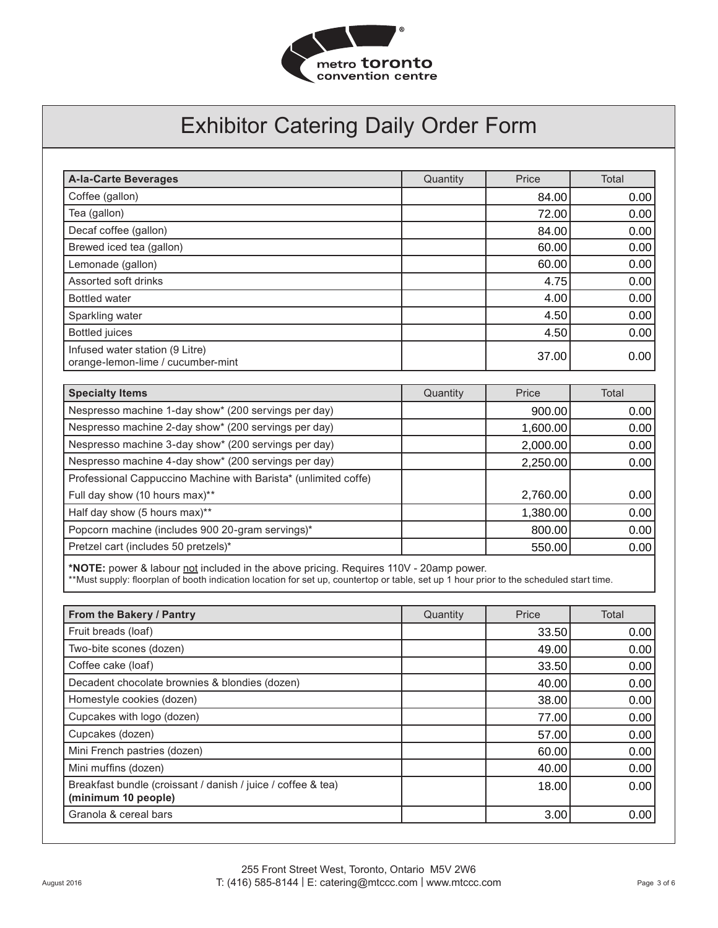

| <b>A-la-Carte Beverages</b>                                                                                                                                                                                                      | Quantity | Price    | Total |
|----------------------------------------------------------------------------------------------------------------------------------------------------------------------------------------------------------------------------------|----------|----------|-------|
| Coffee (gallon)                                                                                                                                                                                                                  |          | 84.00    | 0.00  |
| Tea (gallon)                                                                                                                                                                                                                     |          | 72.00    | 0.00  |
| Decaf coffee (gallon)                                                                                                                                                                                                            |          | 84.00    | 0.00  |
| Brewed iced tea (gallon)                                                                                                                                                                                                         |          | 60.00    | 0.00  |
| Lemonade (gallon)                                                                                                                                                                                                                |          | 60.00    | 0.00  |
| Assorted soft drinks                                                                                                                                                                                                             |          | 4.75     | 0.00  |
| <b>Bottled</b> water                                                                                                                                                                                                             |          | 4.00     | 0.00  |
| Sparkling water                                                                                                                                                                                                                  |          | 4.50     | 0.00  |
| <b>Bottled</b> juices                                                                                                                                                                                                            |          | 4.50     | 0.00  |
| Infused water station (9 Litre)<br>orange-lemon-lime / cucumber-mint                                                                                                                                                             |          | 37.00    | 0.00  |
| <b>Specialty Items</b>                                                                                                                                                                                                           | Quantity | Price    | Total |
| Nespresso machine 1-day show* (200 servings per day)                                                                                                                                                                             |          | 900.00   | 0.00  |
| Nespresso machine 2-day show* (200 servings per day)                                                                                                                                                                             |          | 1,600.00 | 0.00  |
| Nespresso machine 3-day show* (200 servings per day)                                                                                                                                                                             |          | 2,000.00 | 0.00  |
| Nespresso machine 4-day show* (200 servings per day)                                                                                                                                                                             |          | 2,250.00 | 0.00  |
| Professional Cappuccino Machine with Barista* (unlimited coffe)                                                                                                                                                                  |          |          |       |
| Full day show (10 hours max)**                                                                                                                                                                                                   |          | 2,760.00 | 0.00  |
| Half day show (5 hours max)**                                                                                                                                                                                                    |          | 1,380.00 | 0.00  |
| Popcorn machine (includes 900 20-gram servings)*                                                                                                                                                                                 |          | 800.00   | 0.00  |
| Pretzel cart (includes 50 pretzels)*                                                                                                                                                                                             |          | 550.00   | 0.00  |
| *NOTE: power & labour not included in the above pricing. Requires 110V - 20amp power.<br>**Must supply: floorplan of booth indication location for set up, countertop or table, set up 1 hour prior to the scheduled start time. |          |          |       |

| From the Bakery / Pantry                                                            | Quantity | Price | Total |
|-------------------------------------------------------------------------------------|----------|-------|-------|
| Fruit breads (loaf)                                                                 |          | 33.50 | 0.00  |
| Two-bite scones (dozen)                                                             |          | 49.00 | 0.00  |
| Coffee cake (loaf)                                                                  |          | 33.50 | 0.00  |
| Decadent chocolate brownies & blondies (dozen)                                      |          | 40.00 | 0.00  |
| Homestyle cookies (dozen)                                                           |          | 38.00 | 0.00  |
| Cupcakes with logo (dozen)                                                          |          | 77.00 | 0.00  |
| Cupcakes (dozen)                                                                    |          | 57.00 | 0.00  |
| Mini French pastries (dozen)                                                        |          | 60.00 | 0.00  |
| Mini muffins (dozen)                                                                |          | 40.00 | 0.00  |
| Breakfast bundle (croissant / danish / juice / coffee & tea)<br>(minimum 10 people) |          | 18.00 | 0.00  |
| Granola & cereal bars                                                               |          | 3.00  | 0.00  |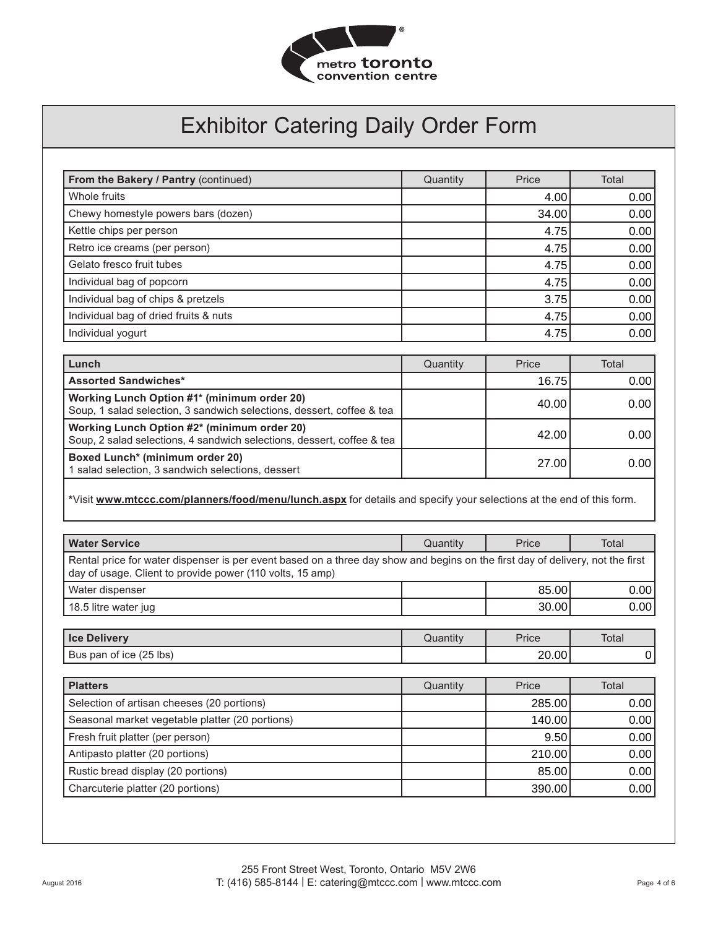

| From the Bakery / Pantry (continued)  | Quantity | Price | Total |
|---------------------------------------|----------|-------|-------|
| Whole fruits                          |          | 4.00  | 0.00  |
| Chewy homestyle powers bars (dozen)   |          | 34.00 | 0.00  |
| Kettle chips per person               |          | 4.75  | 0.00  |
| Retro ice creams (per person)         |          | 4.75  | 0.00  |
| Gelato fresco fruit tubes             |          | 4.75  | 0.00  |
| Individual bag of popcorn             |          | 4.75  | 0.00  |
| Individual bag of chips & pretzels    |          | 3.75  | 0.00  |
| Individual bag of dried fruits & nuts |          | 4.75  | 0.00  |
| Individual yogurt                     |          | 4.75  | 0.00  |

| Lunch                                                                                                                 | Quantity | Price | Total             |
|-----------------------------------------------------------------------------------------------------------------------|----------|-------|-------------------|
| <b>Assorted Sandwiches*</b>                                                                                           |          | 16.75 | 0.00              |
| Working Lunch Option #1* (minimum order 20)<br>Soup, 1 salad selection, 3 sandwich selections, dessert, coffee & tea  |          | 40.00 | 0.00 <sub>1</sub> |
| Working Lunch Option #2* (minimum order 20)<br>Soup, 2 salad selections, 4 sandwich selections, dessert, coffee & tea |          | 42.00 | 0.00              |
| Boxed Lunch* (minimum order 20)<br>1 salad selection, 3 sandwich selections, dessert                                  |          | 27.00 | 0.00              |

### **\***Visit **www.mtccc.com/planners/food/menu/lunch.aspx** for details and specify your selections at the end of this form.

| <b>Water Service</b>                                                                                                                                                                        | Quantity | Price  | Total |
|---------------------------------------------------------------------------------------------------------------------------------------------------------------------------------------------|----------|--------|-------|
| Rental price for water dispenser is per event based on a three day show and begins on the first day of delivery, not the first<br>day of usage. Client to provide power (110 volts, 15 amp) |          |        |       |
| Water dispenser                                                                                                                                                                             |          | 85.00  | 0.00  |
| 18.5 litre water jug                                                                                                                                                                        |          | 30.00  | 0.00  |
|                                                                                                                                                                                             |          |        |       |
| <b>Ice Delivery</b>                                                                                                                                                                         | Quantity | Price  | Total |
| Bus pan of ice (25 lbs)                                                                                                                                                                     |          | 20.00  | 0     |
|                                                                                                                                                                                             |          |        |       |
| <b>Platters</b>                                                                                                                                                                             | Quantity | Price  | Total |
| Selection of artisan cheeses (20 portions)                                                                                                                                                  |          | 285.00 | 0.00  |
| Seasonal market vegetable platter (20 portions)                                                                                                                                             |          | 140.00 | 0.00  |
| Fresh fruit platter (per person)                                                                                                                                                            |          | 9.50   | 0.00  |
| Antipasto platter (20 portions)                                                                                                                                                             |          | 210.00 | 0.00  |
| Rustic bread display (20 portions)                                                                                                                                                          |          | 85.00  | 0.00  |
| Charcuterie platter (20 portions)                                                                                                                                                           |          | 390.00 | 0.00  |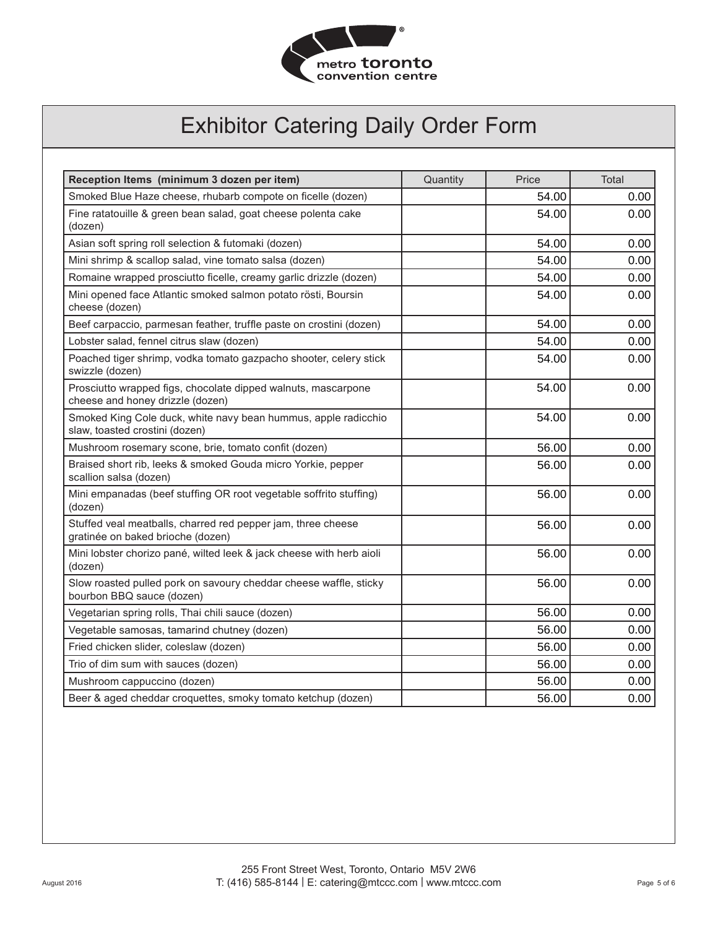

| Reception Items (minimum 3 dozen per item)                                                        | Quantity | Price | Total |
|---------------------------------------------------------------------------------------------------|----------|-------|-------|
| Smoked Blue Haze cheese, rhubarb compote on ficelle (dozen)                                       |          | 54.00 | 0.00  |
| Fine ratatouille & green bean salad, goat cheese polenta cake<br>(dozen)                          |          | 54.00 | 0.00  |
| Asian soft spring roll selection & futomaki (dozen)                                               |          | 54.00 | 0.00  |
| Mini shrimp & scallop salad, vine tomato salsa (dozen)                                            |          | 54.00 | 0.00  |
| Romaine wrapped prosciutto ficelle, creamy garlic drizzle (dozen)                                 |          | 54.00 | 0.00  |
| Mini opened face Atlantic smoked salmon potato rösti, Boursin<br>cheese (dozen)                   |          | 54.00 | 0.00  |
| Beef carpaccio, parmesan feather, truffle paste on crostini (dozen)                               |          | 54.00 | 0.00  |
| Lobster salad, fennel citrus slaw (dozen)                                                         |          | 54.00 | 0.00  |
| Poached tiger shrimp, vodka tomato gazpacho shooter, celery stick<br>swizzle (dozen)              |          | 54.00 | 0.00  |
| Prosciutto wrapped figs, chocolate dipped walnuts, mascarpone<br>cheese and honey drizzle (dozen) |          | 54.00 | 0.00  |
| Smoked King Cole duck, white navy bean hummus, apple radicchio<br>slaw, toasted crostini (dozen)  |          | 54.00 | 0.00  |
| Mushroom rosemary scone, brie, tomato confit (dozen)                                              |          | 56.00 | 0.00  |
| Braised short rib, leeks & smoked Gouda micro Yorkie, pepper<br>scallion salsa (dozen)            |          | 56.00 | 0.00  |
| Mini empanadas (beef stuffing OR root vegetable soffrito stuffing)<br>(dozen)                     |          | 56.00 | 0.00  |
| Stuffed veal meatballs, charred red pepper jam, three cheese<br>gratinée on baked brioche (dozen) |          | 56.00 | 0.00  |
| Mini lobster chorizo pané, wilted leek & jack cheese with herb aioli<br>(dozen)                   |          | 56.00 | 0.00  |
| Slow roasted pulled pork on savoury cheddar cheese waffle, sticky<br>bourbon BBQ sauce (dozen)    |          | 56.00 | 0.00  |
| Vegetarian spring rolls, Thai chili sauce (dozen)                                                 |          | 56.00 | 0.00  |
| Vegetable samosas, tamarind chutney (dozen)                                                       |          | 56.00 | 0.00  |
| Fried chicken slider, coleslaw (dozen)                                                            |          | 56.00 | 0.00  |
| Trio of dim sum with sauces (dozen)                                                               |          | 56.00 | 0.00  |
| Mushroom cappuccino (dozen)                                                                       |          | 56.00 | 0.00  |
| Beer & aged cheddar croquettes, smoky tomato ketchup (dozen)                                      |          | 56.00 | 0.00  |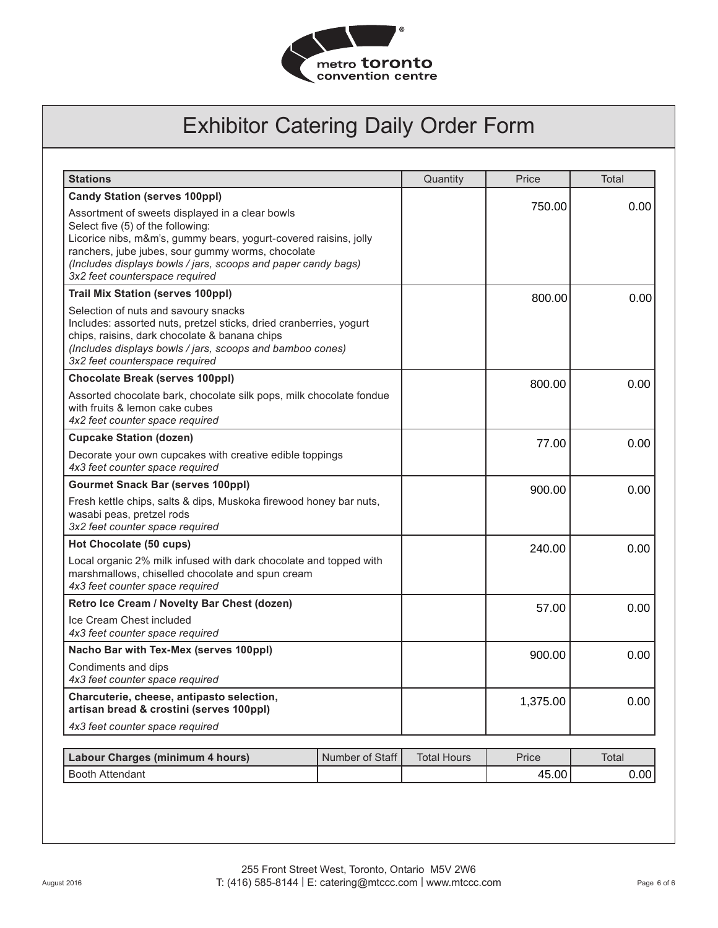

| <b>Stations</b>                                                                                                                                                                                                                                                                                                  |                 | Quantity           | Price    | Total |
|------------------------------------------------------------------------------------------------------------------------------------------------------------------------------------------------------------------------------------------------------------------------------------------------------------------|-----------------|--------------------|----------|-------|
| <b>Candy Station (serves 100ppl)</b>                                                                                                                                                                                                                                                                             |                 |                    |          |       |
| Assortment of sweets displayed in a clear bowls<br>Select five (5) of the following:<br>Licorice nibs, m&m's, gummy bears, yogurt-covered raisins, jolly<br>ranchers, jube jubes, sour gummy worms, chocolate<br>(Includes displays bowls / jars, scoops and paper candy bags)<br>3x2 feet counterspace required |                 |                    | 750.00   | 0.00  |
| <b>Trail Mix Station (serves 100ppl)</b>                                                                                                                                                                                                                                                                         |                 |                    | 800.00   | 0.00  |
| Selection of nuts and savoury snacks<br>Includes: assorted nuts, pretzel sticks, dried cranberries, yogurt<br>chips, raisins, dark chocolate & banana chips<br>(Includes displays bowls / jars, scoops and bamboo cones)<br>3x2 feet counterspace required                                                       |                 |                    |          |       |
| <b>Chocolate Break (serves 100ppl)</b>                                                                                                                                                                                                                                                                           |                 |                    | 800.00   | 0.00  |
| Assorted chocolate bark, chocolate silk pops, milk chocolate fondue<br>with fruits & lemon cake cubes<br>4x2 feet counter space required                                                                                                                                                                         |                 |                    |          |       |
| <b>Cupcake Station (dozen)</b>                                                                                                                                                                                                                                                                                   |                 |                    | 77.00    | 0.00  |
| Decorate your own cupcakes with creative edible toppings<br>4x3 feet counter space required                                                                                                                                                                                                                      |                 |                    |          |       |
| <b>Gourmet Snack Bar (serves 100ppl)</b>                                                                                                                                                                                                                                                                         |                 |                    | 900.00   | 0.00  |
| Fresh kettle chips, salts & dips, Muskoka firewood honey bar nuts,<br>wasabi peas, pretzel rods<br>3x2 feet counter space required                                                                                                                                                                               |                 |                    |          |       |
| Hot Chocolate (50 cups)                                                                                                                                                                                                                                                                                          |                 |                    | 240.00   | 0.00  |
| Local organic 2% milk infused with dark chocolate and topped with<br>marshmallows, chiselled chocolate and spun cream<br>4x3 feet counter space required                                                                                                                                                         |                 |                    |          |       |
| Retro Ice Cream / Novelty Bar Chest (dozen)                                                                                                                                                                                                                                                                      |                 |                    | 57.00    | 0.00  |
| Ice Cream Chest included<br>4x3 feet counter space required                                                                                                                                                                                                                                                      |                 |                    |          |       |
| Nacho Bar with Tex-Mex (serves 100ppl)                                                                                                                                                                                                                                                                           |                 |                    | 900.00   | 0.00  |
| Condiments and dips<br>4x3 feet counter space required                                                                                                                                                                                                                                                           |                 |                    |          |       |
| Charcuterie, cheese, antipasto selection,<br>artisan bread & crostini (serves 100ppl)                                                                                                                                                                                                                            |                 |                    | 1,375.00 | 0.00  |
| 4x3 feet counter space required                                                                                                                                                                                                                                                                                  |                 |                    |          |       |
| <b>Labour Charges (minimum 4 hours)</b>                                                                                                                                                                                                                                                                          | Number of Staff | <b>Total Hours</b> | Price    | Total |
|                                                                                                                                                                                                                                                                                                                  |                 |                    |          |       |
| <b>Booth Attendant</b>                                                                                                                                                                                                                                                                                           |                 |                    | 45.00    | 0.00  |